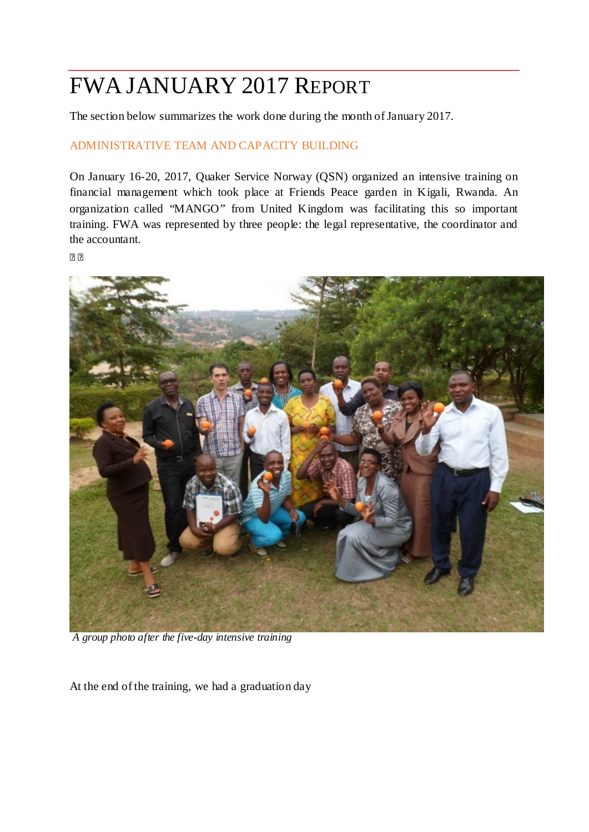# FWA JANUARY 2017 REPORT

The section below summarizes the work done during the month of January 2017.

## ADMINISTRATIVE TEAM AND CAPACITY BUILDING

On January 16-20, 2017, Quaker Service Norway (QSN) organized an intensive training on financial management which took place at Friends Peace garden in Kigali, Rwanda. An organization called "MANGO" from United Kingdom was facilitating this so important training. FWA was represented by three people: the legal representative, the coordinator and the accountant.

 $\overline{2}$ 



*A group photo after the five-day intensive training*

At the end of the training, we had a graduation day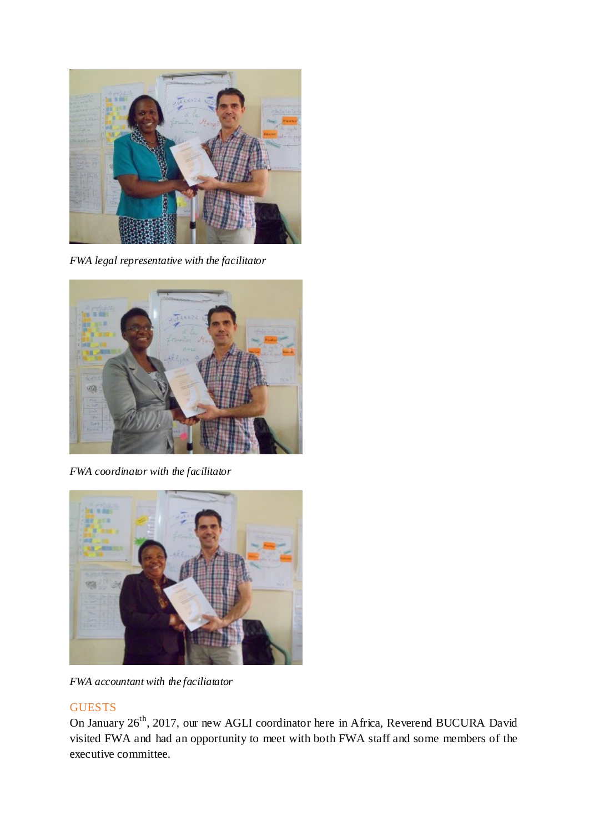

*FWA legal representative with the facilitator*



*FWA coordinator with the facilitator*



*FWA accountant with the faciliatator*

## **GUESTS**

On January 26<sup>th</sup>, 2017, our new AGLI coordinator here in Africa, Reverend BUCURA David visited FWA and had an opportunity to meet with both FWA staff and some members of the executive committee.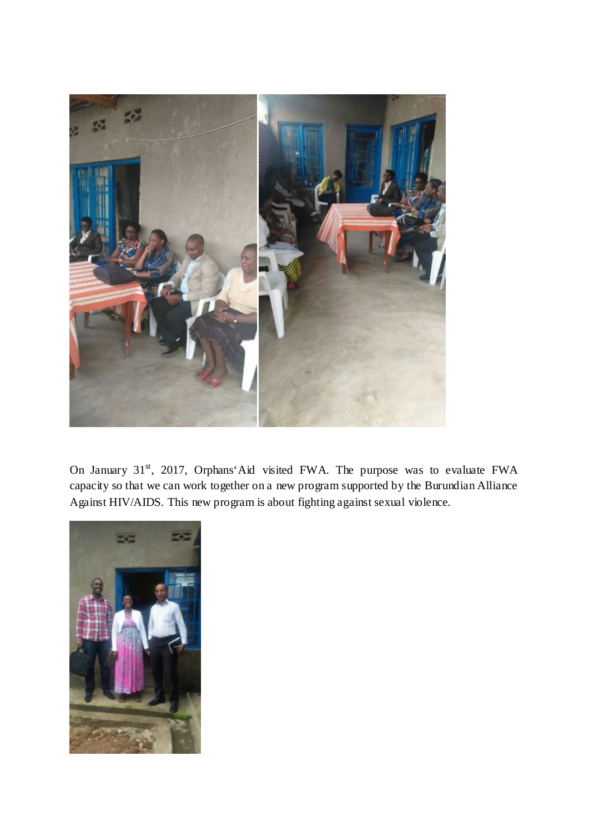

On January 31<sup>st</sup>, 2017, Orphans'Aid visited FWA. The purpose was to evaluate FWA capacity so that we can work together on a new program supported by the Burundian Alliance Against HIV/AIDS. This new program is about fighting against sexual violence.

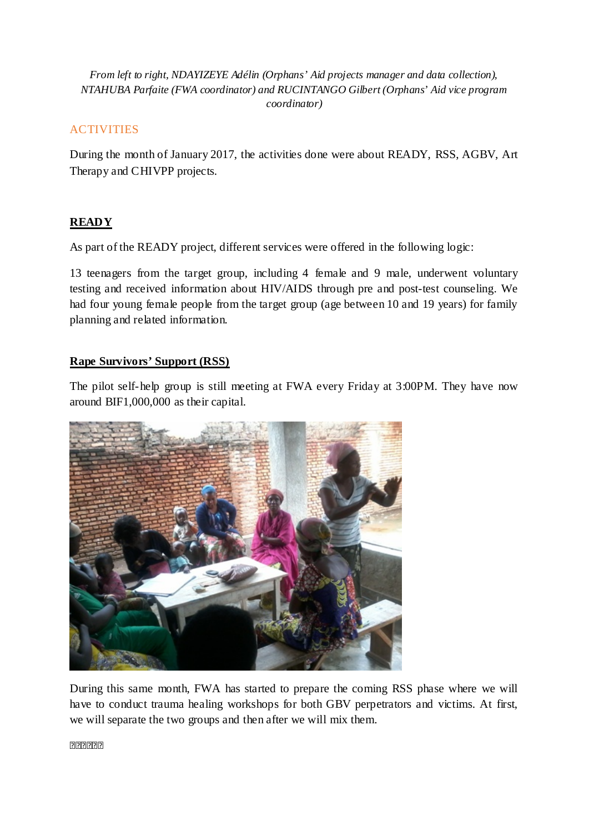#### *From left to right, NDAYIZEYE Adélin (Orphans' Aid projects manager and data collection), NTAHUBA Parfaite (FWA coordinator) and RUCINTANGO Gilbert (Orphans' Aid vice program coordinator)*

## ACTIVITIES

During the month of January 2017, the activities done were about READY, RSS, AGBV, Art Therapy and CHIVPP projects.

## **READY**

As part of the READY project, different services were offered in the following logic:

13 teenagers from the target group, including 4 female and 9 male, underwent voluntary testing and received information about HIV/AIDS through pre and post-test counseling. We had four young female people from the target group (age between 10 and 19 years) for family planning and related information.

## **Rape Survivors' Support (RSS)**

The pilot self-help group is still meeting at FWA every Friday at 3:00PM. They have now around BIF1,000,000 as their capital.



During this same month, FWA has started to prepare the coming RSS phase where we will have to conduct trauma healing workshops for both GBV perpetrators and victims. At first, we will separate the two groups and then after we will mix them.

اذااذااذااذااذا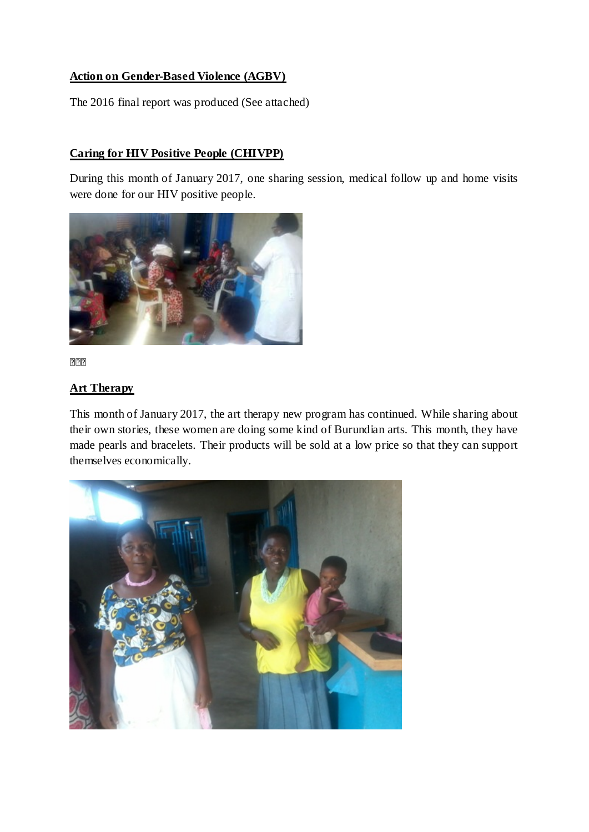#### **Action on Gender-Based Violence (AGBV)**

The 2016 final report was produced (See attached)

## **Caring for HIV Positive People (CHIVPP)**

During this month of January 2017, one sharing session, medical follow up and home visits were done for our HIV positive people.



222

## **Art Therapy**

This month of January 2017, the art therapy new program has continued. While sharing about their own stories, these women are doing some kind of Burundian arts. This month, they have made pearls and bracelets. Their products will be sold at a low price so that they can support themselves economically.

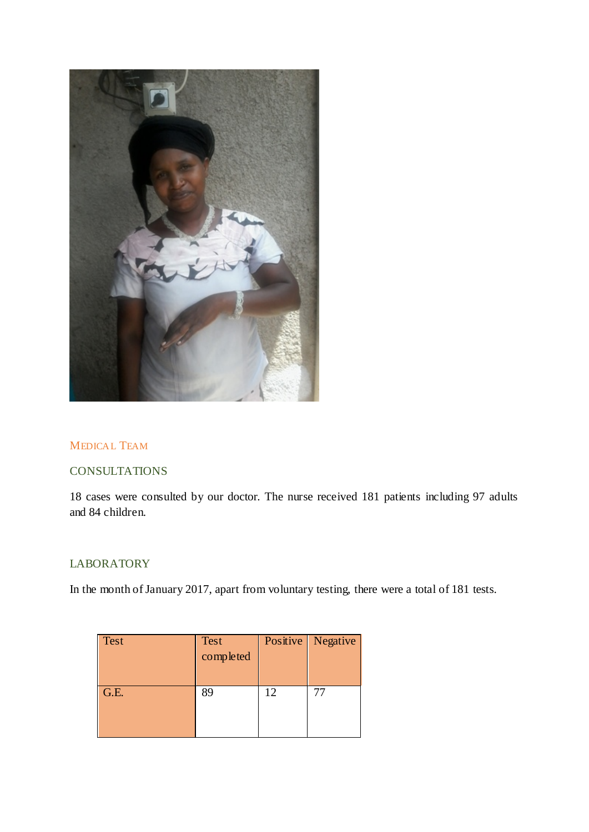

#### MEDICAL TEAM

#### **CONSULTATIONS**

18 cases were consulted by our doctor. The nurse received 181 patients including 97 adults and 84 children.

#### LABORATORY

In the month of January 2017, apart from voluntary testing, there were a total of 181 tests.

| <b>Test</b> | <b>Test</b><br>completed |    | Positive   Negative |
|-------------|--------------------------|----|---------------------|
| G.E.        | 89                       | 12 |                     |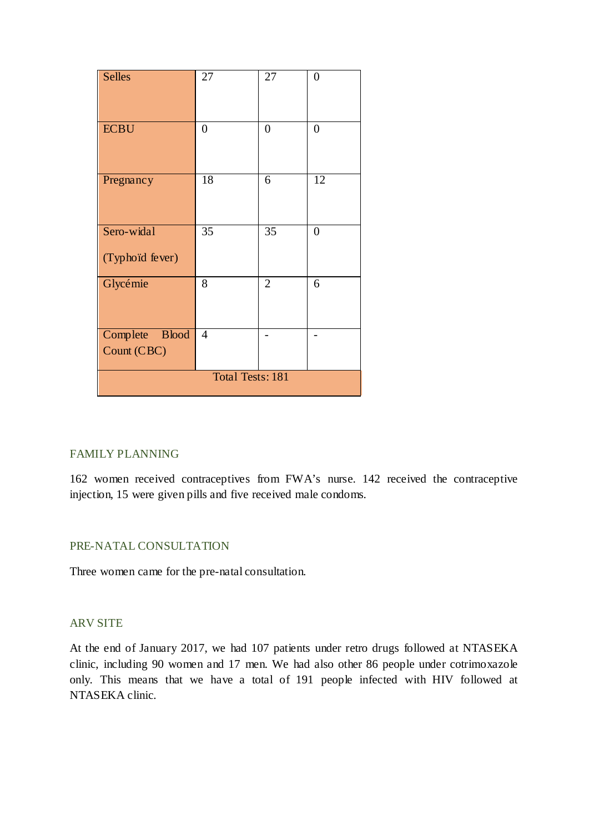| <b>Selles</b>                 | 27               | 27               | $\boldsymbol{0}$ |
|-------------------------------|------------------|------------------|------------------|
|                               |                  |                  |                  |
| <b>ECBU</b>                   | $\boldsymbol{0}$ | $\boldsymbol{0}$ | $\boldsymbol{0}$ |
| Pregnancy                     | 18               | 6                | 12               |
| Sero-widal<br>(Typhoid fever) | 35               | 35               | $\overline{0}$   |
| Glycémie                      | 8                | $\overline{2}$   | 6                |
| Complete Blood<br>Count (CBC) | $\overline{4}$   |                  |                  |
| <b>Total Tests: 181</b>       |                  |                  |                  |

#### FAMILY PLANNING

162 women received contraceptives from FWA's nurse. 142 received the contraceptive injection, 15 were given pills and five received male condoms.

#### PRE-NATAL CONSULTATION

Three women came for the pre-natal consultation.

#### ARV SITE

At the end of January 2017, we had 107 patients under retro drugs followed at NTASEKA clinic, including 90 women and 17 men. We had also other 86 people under cotrimoxazole only. This means that we have a total of 191 people infected with HIV followed at NTASEKA clinic.